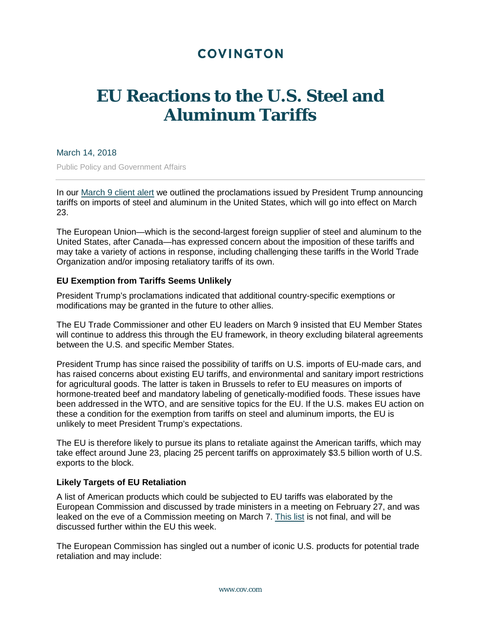# **COVINGTON**

# **EU Reactions to the U.S. Steel and Aluminum Tariffs**

### March 14, 2018

Public Policy and Government Affairs

In our [March 9 client alert](https://www.cov.com/-/media/files/corporate/publications/2018/03/president_trump_announces_tariffs_on_steel_and_aluminum_products_announces_process_for_seeking_exemptions_and_exclusions.pdf) we outlined the proclamations issued by President Trump announcing tariffs on imports of steel and aluminum in the United States, which will go into effect on March 23.

The European Union—which is the second-largest foreign supplier of steel and aluminum to the United States, after Canada—has expressed concern about the imposition of these tariffs and may take a variety of actions in response, including challenging these tariffs in the World Trade Organization and/or imposing retaliatory tariffs of its own.

## **EU Exemption from Tariffs Seems Unlikely**

President Trump's proclamations indicated that additional country-specific exemptions or modifications may be granted in the future to other allies.

The EU Trade Commissioner and other EU leaders on March 9 insisted that EU Member States will continue to address this through the EU framework, in theory excluding bilateral agreements between the U.S. and specific Member States.

President Trump has since raised the possibility of tariffs on U.S. imports of EU-made cars, and has raised concerns about existing EU tariffs, and environmental and sanitary import restrictions for agricultural goods. The latter is taken in Brussels to refer to EU measures on imports of hormone-treated beef and mandatory labeling of genetically-modified foods. These issues have been addressed in the WTO, and are sensitive topics for the EU. If the U.S. makes EU action on these a condition for the exemption from tariffs on steel and aluminum imports, the EU is unlikely to meet President Trump's expectations.

The EU is therefore likely to pursue its plans to retaliate against the American tariffs, which may take effect around June 23, placing 25 percent tariffs on approximately \$3.5 billion worth of U.S. exports to the block.

#### **Likely Targets of EU Retaliation**

A list of American products which could be subjected to EU tariffs was elaborated by the European Commission and discussed by trade ministers in a meeting on February 27, and was leaked on the eve of a Commission meeting on March 7. [This list](https://www.politico.eu/wp-content/uploads/2018/03/POLITICO-EU-retaliation-list.pdf) is not final, and will be discussed further within the EU this week.

The European Commission has singled out a number of iconic U.S. products for potential trade retaliation and may include: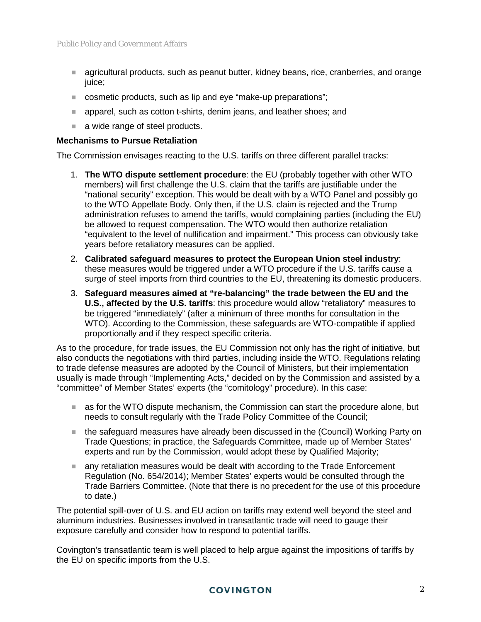- agricultural products, such as peanut butter, kidney beans, rice, cranberries, and orange juice;
- cosmetic products, such as lip and eye "make-up preparations":
- **E** apparel, such as cotton t-shirts, denim jeans, and leather shoes; and
- a wide range of steel products.

### **Mechanisms to Pursue Retaliation**

The Commission envisages reacting to the U.S. tariffs on three different parallel tracks:

- 1. **The WTO dispute settlement procedure**: the EU (probably together with other WTO members) will first challenge the U.S. claim that the tariffs are justifiable under the "national security" exception. This would be dealt with by a WTO Panel and possibly go to the WTO Appellate Body. Only then, if the U.S. claim is rejected and the Trump administration refuses to amend the tariffs, would complaining parties (including the EU) be allowed to request compensation. The WTO would then authorize retaliation "equivalent to the level of nullification and impairment." This process can obviously take years before retaliatory measures can be applied.
- 2. **Calibrated safeguard measures to protect the European Union steel industry**: these measures would be triggered under a WTO procedure if the U.S. tariffs cause a surge of steel imports from third countries to the EU, threatening its domestic producers.
- 3. **Safeguard measures aimed at "re-balancing" the trade between the EU and the U.S., affected by the U.S. tariffs**: this procedure would allow "retaliatory" measures to be triggered "immediately" (after a minimum of three months for consultation in the WTO). According to the Commission, these safeguards are WTO-compatible if applied proportionally and if they respect specific criteria.

As to the procedure, for trade issues, the EU Commission not only has the right of initiative, but also conducts the negotiations with third parties, including inside the WTO. Regulations relating to trade defense measures are adopted by the Council of Ministers, but their implementation usually is made through "Implementing Acts," decided on by the Commission and assisted by a "committee" of Member States' experts (the "comitology" procedure). In this case:

- as for the WTO dispute mechanism, the Commission can start the procedure alone, but needs to consult regularly with the Trade Policy Committee of the Council;
- the safeguard measures have already been discussed in the (Council) Working Party on Trade Questions; in practice, the Safeguards Committee, made up of Member States' experts and run by the Commission, would adopt these by Qualified Majority;
- any retaliation measures would be dealt with according to the Trade Enforcement Regulation (No. 654/2014); Member States' experts would be consulted through the Trade Barriers Committee. (Note that there is no precedent for the use of this procedure to date.)

The potential spill-over of U.S. and EU action on tariffs may extend well beyond the steel and aluminum industries. Businesses involved in transatlantic trade will need to gauge their exposure carefully and consider how to respond to potential tariffs.

Covington's transatlantic team is well placed to help argue against the impositions of tariffs by the EU on specific imports from the U.S.

# **COVINGTON**